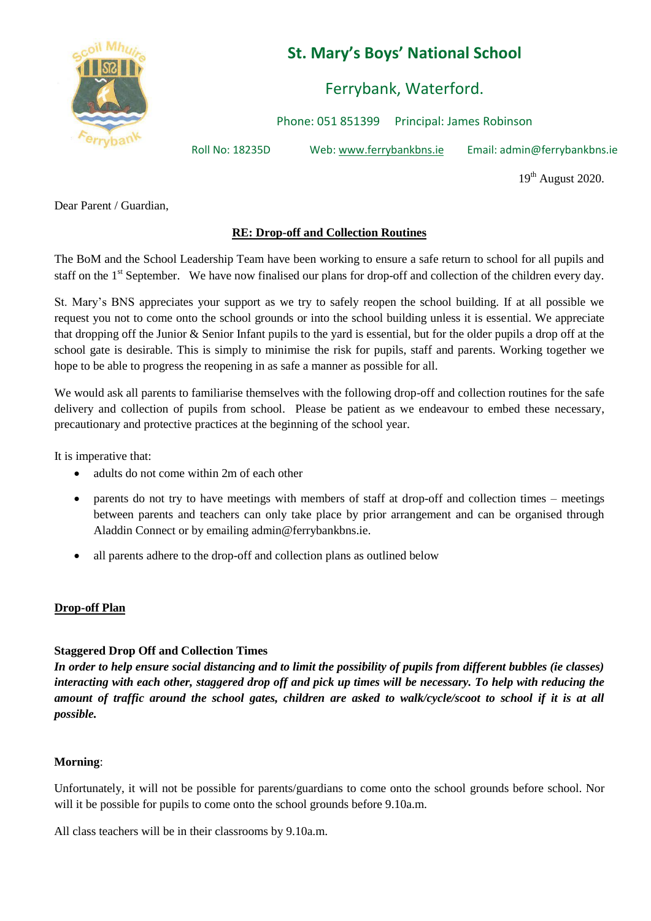

# **St. Mary's Boys' National School**

Ferrybank, Waterford.

Phone: 051 851399 Principal: James Robinson

Roll No: 18235D Web: www.ferrybankbns.ie Email: admin@ferrybankbns.ie

 $19<sup>th</sup>$  August 2020.

Dear Parent / Guardian,

## **RE: Drop-off and Collection Routines**

The BoM and the School Leadership Team have been working to ensure a safe return to school for all pupils and staff on the 1<sup>st</sup> September. We have now finalised our plans for drop-off and collection of the children every day.

St. Mary's BNS appreciates your support as we try to safely reopen the school building. If at all possible we request you not to come onto the school grounds or into the school building unless it is essential. We appreciate that dropping off the Junior & Senior Infant pupils to the yard is essential, but for the older pupils a drop off at the school gate is desirable. This is simply to minimise the risk for pupils, staff and parents. Working together we hope to be able to progress the reopening in as safe a manner as possible for all.

We would ask all parents to familiarise themselves with the following drop-off and collection routines for the safe delivery and collection of pupils from school. Please be patient as we endeavour to embed these necessary, precautionary and protective practices at the beginning of the school year.

It is imperative that:

- adults do not come within 2m of each other
- parents do not try to have meetings with members of staff at drop-off and collection times meetings between parents and teachers can only take place by prior arrangement and can be organised through Aladdin Connect or by emailing admin@ferrybankbns.ie.
- all parents adhere to the drop-off and collection plans as outlined below

### **Drop-off Plan**

### **Staggered Drop Off and Collection Times**

*In order to help ensure social distancing and to limit the possibility of pupils from different bubbles (ie classes) interacting with each other, staggered drop off and pick up times will be necessary. To help with reducing the amount of traffic around the school gates, children are asked to walk/cycle/scoot to school if it is at all possible.*

### **Morning**:

Unfortunately, it will not be possible for parents/guardians to come onto the school grounds before school. Nor will it be possible for pupils to come onto the school grounds before 9.10a.m.

All class teachers will be in their classrooms by 9.10a.m.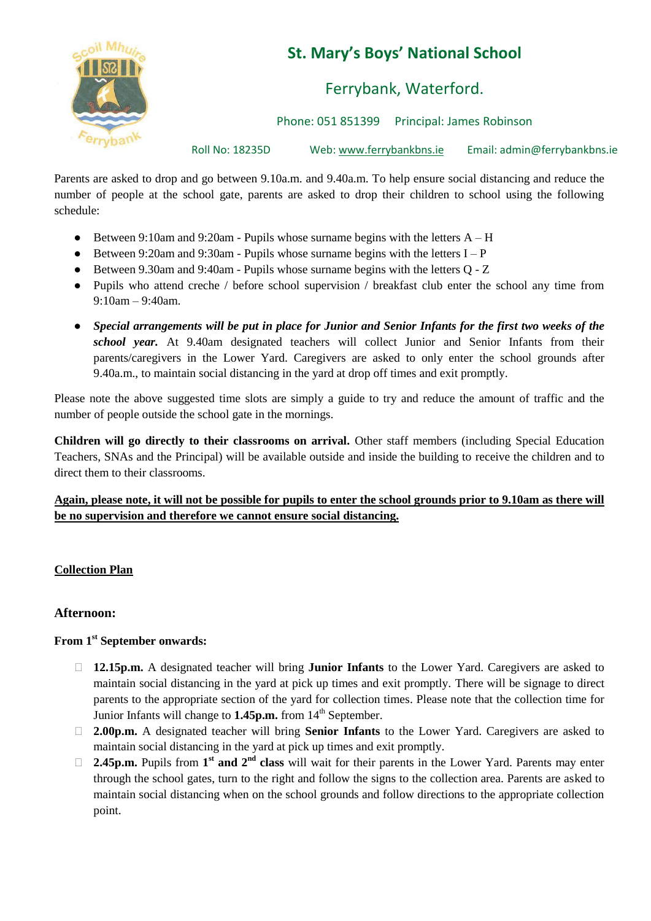

# **St. Mary's Boys' National School**

Ferrybank, Waterford.

Phone: 051 851399 Principal: James Robinson

Roll No: 18235D Web: www.ferrybankbns.ie Email: admin@ferrybankbns.ie

Parents are asked to drop and go between 9.10a.m. and 9.40a.m. To help ensure social distancing and reduce the number of people at the school gate, parents are asked to drop their children to school using the following schedule:

- Between 9:10am and 9:20am Pupils whose surname begins with the letters  $A H$
- Between 9:20am and 9:30am Pupils whose surname begins with the letters  $I P$
- Between 9.30am and 9:40am Pupils whose surname begins with the letters Q Z
- Pupils who attend creche / before school supervision / breakfast club enter the school any time from 9:10am – 9:40am.
- *Special arrangements will be put in place for Junior and Senior Infants for the first two weeks of the school year.* At 9.40am designated teachers will collect Junior and Senior Infants from their parents/caregivers in the Lower Yard. Caregivers are asked to only enter the school grounds after 9.40a.m., to maintain social distancing in the yard at drop off times and exit promptly.

Please note the above suggested time slots are simply a guide to try and reduce the amount of traffic and the number of people outside the school gate in the mornings.

**Children will go directly to their classrooms on arrival.** Other staff members (including Special Education Teachers, SNAs and the Principal) will be available outside and inside the building to receive the children and to direct them to their classrooms.

## **Again, please note, it will not be possible for pupils to enter the school grounds prior to 9.10am as there will be no supervision and therefore we cannot ensure social distancing.**

## **Collection Plan**

### **Afternoon:**

## **From 1st September onwards:**

- ⮚ **12.15p.m.** A designated teacher will bring **Junior Infants** to the Lower Yard. Caregivers are asked to maintain social distancing in the yard at pick up times and exit promptly. There will be signage to direct parents to the appropriate section of the yard for collection times. Please note that the collection time for Junior Infants will change to **1.45p.m.** from 14<sup>th</sup> September.
- ⮚ **2.00p.m.** A designated teacher will bring **Senior Infants** to the Lower Yard. Caregivers are asked to maintain social distancing in the yard at pick up times and exit promptly.
- □ **2.45p.m.** Pupils from 1<sup>st</sup> and 2<sup>nd</sup> class will wait for their parents in the Lower Yard. Parents may enter through the school gates, turn to the right and follow the signs to the collection area. Parents are asked to maintain social distancing when on the school grounds and follow directions to the appropriate collection point.